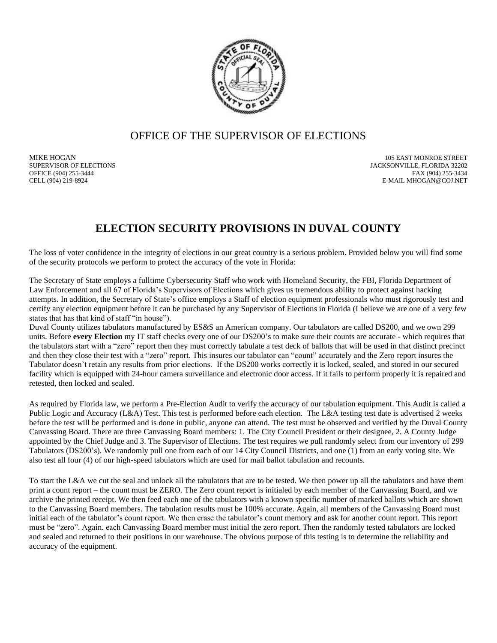

## OFFICE OF THE SUPERVISOR OF ELECTIONS

MIKE HOGAN 105 EAST MONROE STREET JACKSONVILLE, FLORIDA 32202 OFFICE (904) 255-3444<br>
E-MAIL MHOGAN@COJ.NET بالتاريخ المستوى المستوى المستوى المستوى المستوى المستوى المستوى المستوى المستوى المستوى المستوى المستوى المستوى المستوى المستوى المستوى المستوى المستوى المستوى المستوى المستوى E-MAIL MHOGAN@COJ.NET

## **ELECTION SECURITY PROVISIONS IN DUVAL COUNTY**

The loss of voter confidence in the integrity of elections in our great country is a serious problem. Provided below you will find some of the security protocols we perform to protect the accuracy of the vote in Florida:

The Secretary of State employs a fulltime Cybersecurity Staff who work with Homeland Security, the FBI, Florida Department of Law Enforcement and all 67 of Florida's Supervisors of Elections which gives us tremendous ability to protect against hacking attempts. In addition, the Secretary of State's office employs a Staff of election equipment professionals who must rigorously test and certify any election equipment before it can be purchased by any Supervisor of Elections in Florida (I believe we are one of a very few states that has that kind of staff "in house").

Duval County utilizes tabulators manufactured by ES&S an American company. Our tabulators are called DS200, and we own 299 units. Before **every Election** my IT staff checks every one of our DS200's to make sure their counts are accurate - which requires that the tabulators start with a "zero" report then they must correctly tabulate a test deck of ballots that will be used in that distinct precinct and then they close their test with a "zero" report. This insures our tabulator can "count" accurately and the Zero report insures the Tabulator doesn't retain any results from prior elections. If the DS200 works correctly it is locked, sealed, and stored in our secured facility which is equipped with 24-hour camera surveillance and electronic door access. If it fails to perform properly it is repaired and retested, then locked and sealed.

As required by Florida law, we perform a Pre-Election Audit to verify the accuracy of our tabulation equipment. This Audit is called a Public Logic and Accuracy (L&A) Test. This test is performed before each election. The L&A testing test date is advertised 2 weeks before the test will be performed and is done in public, anyone can attend. The test must be observed and verified by the Duval County Canvassing Board. There are three Canvassing Board members: 1. The City Council President or their designee, 2. A County Judge appointed by the Chief Judge and 3. The Supervisor of Elections. The test requires we pull randomly select from our inventory of 299 Tabulators (DS200's). We randomly pull one from each of our 14 City Council Districts, and one (1) from an early voting site. We also test all four (4) of our high-speed tabulators which are used for mail ballot tabulation and recounts.

To start the L&A we cut the seal and unlock all the tabulators that are to be tested. We then power up all the tabulators and have them print a count report – the count must be ZERO. The Zero count report is initialed by each member of the Canvassing Board, and we archive the printed receipt. We then feed each one of the tabulators with a known specific number of marked ballots which are shown to the Canvassing Board members. The tabulation results must be 100% accurate. Again, all members of the Canvassing Board must initial each of the tabulator's count report. We then erase the tabulator's count memory and ask for another count report. This report must be "zero". Again, each Canvassing Board member must initial the zero report. Then the randomly tested tabulators are locked and sealed and returned to their positions in our warehouse. The obvious purpose of this testing is to determine the reliability and accuracy of the equipment.